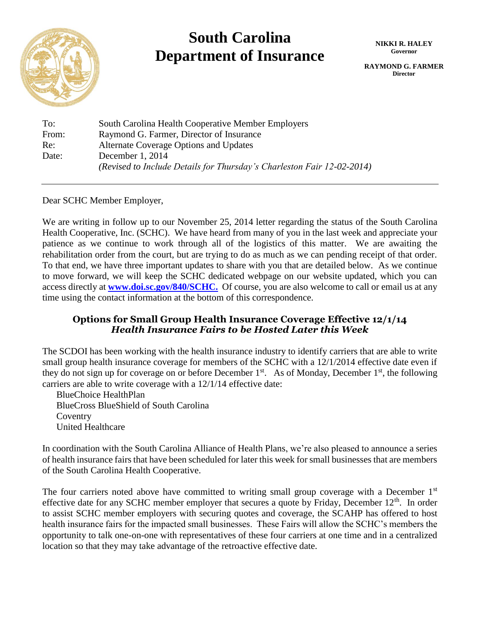

## **South Carolina Department of Insurance**

**NIKKI R. HALEY Governor**

**RAYMOND G. FARMER Director**

To: South Carolina Health Cooperative Member Employers From: Raymond G. Farmer, Director of Insurance Re: Alternate Coverage Options and Updates Date: December 1, 2014 *(Revised to Include Details for Thursday's Charleston Fair 12-02-2014)*

Dear SCHC Member Employer,

We are writing in follow up to our November 25, 2014 letter regarding the status of the South Carolina Health Cooperative, Inc. (SCHC). We have heard from many of you in the last week and appreciate your patience as we continue to work through all of the logistics of this matter. We are awaiting the rehabilitation order from the court, but are trying to do as much as we can pending receipt of that order. To that end, we have three important updates to share with you that are detailed below. As we continue to move forward, we will keep the SCHC dedicated webpage on our website updated, which you can access directly at **[www.doi.sc.gov/840/SCHC.](http://www.doi.sc.gov/840/SCHC)** Of course, you are also welcome to call or email us at any time using the contact information at the bottom of this correspondence.

## **Options for Small Group Health Insurance Coverage Effective 12/1/14** *Health Insurance Fairs to be Hosted Later this Week*

The SCDOI has been working with the health insurance industry to identify carriers that are able to write small group health insurance coverage for members of the SCHC with a 12/1/2014 effective date even if they do not sign up for coverage on or before December  $1<sup>st</sup>$ . As of Monday, December  $1<sup>st</sup>$ , the following carriers are able to write coverage with a 12/1/14 effective date:

BlueChoice HealthPlan BlueCross BlueShield of South Carolina **Coventry** United Healthcare

In coordination with the South Carolina Alliance of Health Plans, we're also pleased to announce a series of health insurance fairs that have been scheduled for later this week for small businesses that are members of the South Carolina Health Cooperative.

The four carriers noted above have committed to writing small group coverage with a December 1<sup>st</sup> effective date for any SCHC member employer that secures a quote by Friday, December  $12<sup>th</sup>$ . In order to assist SCHC member employers with securing quotes and coverage, the SCAHP has offered to host health insurance fairs for the impacted small businesses. These Fairs will allow the SCHC's members the opportunity to talk one-on-one with representatives of these four carriers at one time and in a centralized location so that they may take advantage of the retroactive effective date.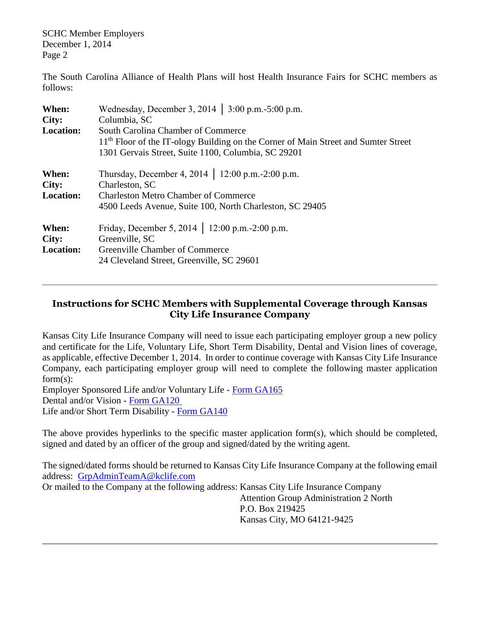SCHC Member Employers December 1, 2014 Page 2

The South Carolina Alliance of Health Plans will host Health Insurance Fairs for SCHC members as follows:

| When:<br>City:<br><b>Location:</b> | Wednesday, December 3, 2014   $3:00$ p.m. -5:00 p.m.<br>Columbia, SC<br>South Carolina Chamber of Commerce<br>11 <sup>th</sup> Floor of the IT-ology Building on the Corner of Main Street and Sumter Street<br>1301 Gervais Street, Suite 1100, Columbia, SC 29201 |
|------------------------------------|---------------------------------------------------------------------------------------------------------------------------------------------------------------------------------------------------------------------------------------------------------------------|
| When:<br>City:<br><b>Location:</b> | Thursday, December 4, 2014   12:00 p.m. -2:00 p.m.<br>Charleston, SC<br><b>Charleston Metro Chamber of Commerce</b><br>4500 Leeds Avenue, Suite 100, North Charleston, SC 29405                                                                                     |
| When:<br>City:<br><b>Location:</b> | Friday, December 5, 2014   12:00 p.m. -2:00 p.m.<br>Greenville, SC<br>Greenville Chamber of Commerce<br>24 Cleveland Street, Greenville, SC 29601                                                                                                                   |

## **Instructions for SCHC Members with Supplemental Coverage through Kansas City Life Insurance Company**

Kansas City Life Insurance Company will need to issue each participating employer group a new policy and certificate for the Life, Voluntary Life, Short Term Disability, Dental and Vision lines of coverage, as applicable, effective December 1, 2014. In order to continue coverage with Kansas City Life Insurance Company, each participating employer group will need to complete the following master application form(s):

Employer Sponsored Life and/or Voluntary Life - [Form GA165](http://doi.sc.gov/DocumentCenter/View/7903) Dental and/or Vision - [Form GA120](http://doi.sc.gov/DocumentCenter/View/7902) Life and/or Short Term Disability - [Form GA140](http://doi.sc.gov/DocumentCenter/View/7904)

The above provides hyperlinks to the specific master application form(s), which should be completed, signed and dated by an officer of the group and signed/dated by the writing agent.

The signed/dated forms should be returned to Kansas City Life Insurance Company at the following email address: [GrpAdminTeamA@kclife.com](mailto:GrpAdminTeamA@kclife.com)

Or mailed to the Company at the following address: Kansas City Life Insurance Company Attention Group Administration 2 North P.O. Box 219425 Kansas City, MO 64121-9425